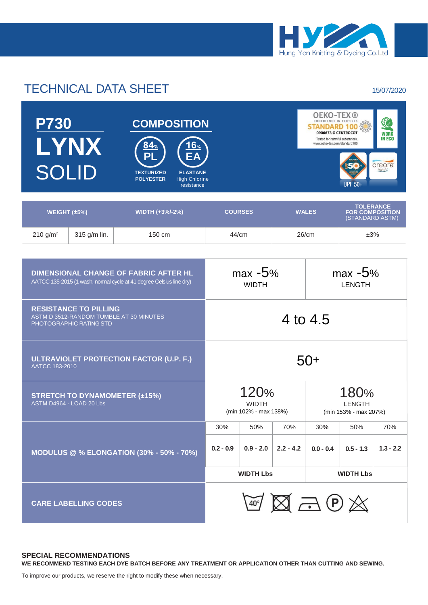

## TECHNICAL DATA SHEET 15/07/2020

| <b>P730</b><br>LYNX<br><b>SOLID</b> | <b>COMPOSITION</b><br>16 <sub>%</sub><br>84%<br>EA<br>DI<br><b>TEXTURIZED</b><br><b>ELASTANE</b><br><b>POLYESTER</b><br><b>High Chlorine</b><br>resistance |                |              | <b>OEKO-TEX®</b><br>$\mathbb{C}$<br>CONFIDENCE IN TEXTILES<br>0906673.O CENTROCOT<br><b>WORK</b><br><b>IN ECO</b><br>Tested for harmful substances.<br>www.oeko-tex.com/standard100<br><i>creora</i><br>highclo)<br><b>UPF 50+</b> |
|-------------------------------------|------------------------------------------------------------------------------------------------------------------------------------------------------------|----------------|--------------|------------------------------------------------------------------------------------------------------------------------------------------------------------------------------------------------------------------------------------|
|                                     |                                                                                                                                                            |                |              |                                                                                                                                                                                                                                    |
| WEIGHT $(\pm 5\%)$                  | WIDTH (+3%/-2%)                                                                                                                                            | <b>COURSES</b> | <b>WALES</b> | <b>TOLERANCE</b><br><b>FOR COMPOSITION</b><br>(STANDARD ASTM)                                                                                                                                                                      |

 $210 \text{ g/m}^2$  315 g/m lin. 150 cm 44/cm  $\frac{44}{\text{ cm}}$  26/cm  $\frac{150}{\text{ cm}}$   $\frac{43}{\text{ s}}$ 

| <b>DIMENSIONAL CHANGE OF FABRIC AFTER HL</b><br>AATCC 135-2015 (1 wash, normal cycle at 41 degree Celsius line dry) | $max -5%$<br><b>WIDTH</b>                           |             |             | $max -5%$<br><b>LENGTH</b>                     |             |             |  |
|---------------------------------------------------------------------------------------------------------------------|-----------------------------------------------------|-------------|-------------|------------------------------------------------|-------------|-------------|--|
| <b>RESISTANCE TO PILLING</b><br>ASTM D 3512-RANDOM TUMBLE AT 30 MINUTES<br>PHOTOGRAPHIC RATING STD                  | 4 to 4.5                                            |             |             |                                                |             |             |  |
| ULTRAVIOLET PROTECTION FACTOR (U.P. F.)<br>AATCC 183-2010                                                           | 50+                                                 |             |             |                                                |             |             |  |
| <b>STRETCH TO DYNAMOMETER (±15%)</b><br>ASTM D4964 - LOAD 20 Lbs                                                    | 120%<br><b>WIDTH</b><br>(min 102% - max 138%)       |             |             | 180%<br><b>LENGTH</b><br>(min 153% - max 207%) |             |             |  |
|                                                                                                                     | 30%                                                 | 50%         | 70%         | 30%                                            | 50%         | 70%         |  |
| <b>MODULUS @ % ELONGATION (30% - 50% - 70%)</b>                                                                     | $0.2 - 0.9$                                         | $0.9 - 2.0$ | $2.2 - 4.2$ | $0.0 - 0.4$                                    | $0.5 - 1.3$ | $1.3 - 2.2$ |  |
|                                                                                                                     | <b>WIDTH Lbs</b>                                    |             |             | <b>WIDTH Lbs</b>                               |             |             |  |
| <b>CARE LABELLING CODES</b>                                                                                         | $\mathbb{Z} \boxtimes \mathbb{Z} \oplus \mathbb{Z}$ |             |             |                                                |             |             |  |

## **SPECIAL RECOMMENDATIONS**

**WE RECOMMEND TESTING EACH DYE BATCH BEFORE ANY TREATMENT OR APPLICATION OTHER THAN CUTTING AND SEWING.**